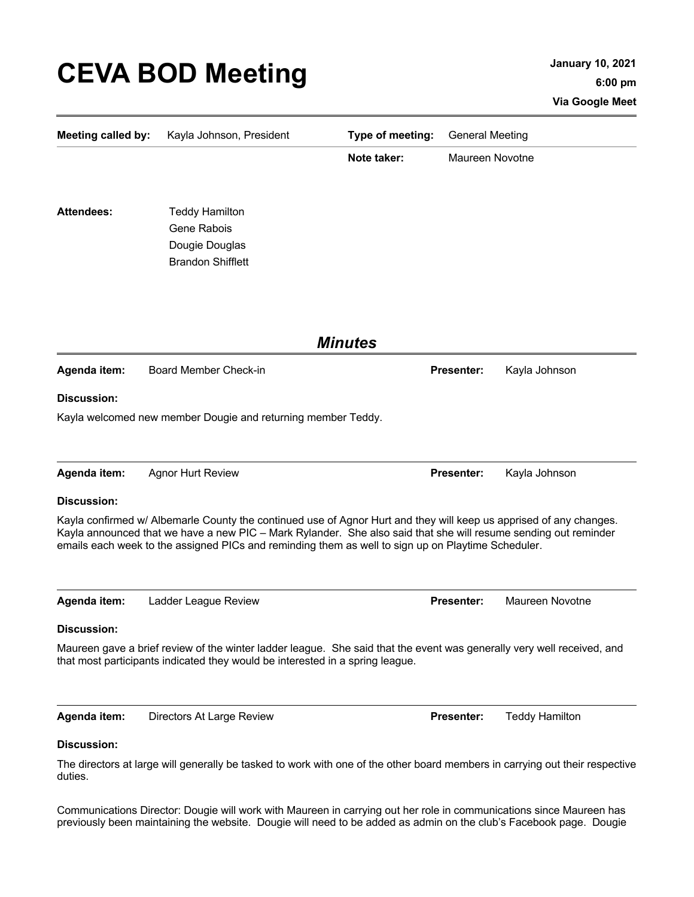## **CEVA BOD Meeting January 10, 2021**

| <b>Meeting called by:</b> | Kayla Johnson, President                                                                                                                                                                                                                                                                                                                    | Type of meeting: | <b>General Meeting</b> |                       |
|---------------------------|---------------------------------------------------------------------------------------------------------------------------------------------------------------------------------------------------------------------------------------------------------------------------------------------------------------------------------------------|------------------|------------------------|-----------------------|
|                           |                                                                                                                                                                                                                                                                                                                                             | Note taker:      | Maureen Novotne        |                       |
|                           |                                                                                                                                                                                                                                                                                                                                             |                  |                        |                       |
| <b>Attendees:</b>         | <b>Teddy Hamilton</b>                                                                                                                                                                                                                                                                                                                       |                  |                        |                       |
|                           | Gene Rabois                                                                                                                                                                                                                                                                                                                                 |                  |                        |                       |
|                           | Dougie Douglas                                                                                                                                                                                                                                                                                                                              |                  |                        |                       |
|                           | <b>Brandon Shifflett</b>                                                                                                                                                                                                                                                                                                                    |                  |                        |                       |
|                           |                                                                                                                                                                                                                                                                                                                                             |                  |                        |                       |
| <b>Minutes</b>            |                                                                                                                                                                                                                                                                                                                                             |                  |                        |                       |
| Agenda item:              | Board Member Check-in                                                                                                                                                                                                                                                                                                                       |                  | <b>Presenter:</b>      | Kayla Johnson         |
| <b>Discussion:</b>        |                                                                                                                                                                                                                                                                                                                                             |                  |                        |                       |
|                           | Kayla welcomed new member Dougie and returning member Teddy.                                                                                                                                                                                                                                                                                |                  |                        |                       |
|                           |                                                                                                                                                                                                                                                                                                                                             |                  |                        |                       |
| Agenda item:              | <b>Agnor Hurt Review</b>                                                                                                                                                                                                                                                                                                                    |                  | Presenter:             | Kayla Johnson         |
| <b>Discussion:</b>        |                                                                                                                                                                                                                                                                                                                                             |                  |                        |                       |
|                           | Kayla confirmed w/ Albemarle County the continued use of Agnor Hurt and they will keep us apprised of any changes.<br>Kayla announced that we have a new PIC - Mark Rylander. She also said that she will resume sending out reminder<br>emails each week to the assigned PICs and reminding them as well to sign up on Playtime Scheduler. |                  |                        |                       |
| Agenda item:              | Ladder League Review                                                                                                                                                                                                                                                                                                                        |                  | <b>Presenter:</b>      | Maureen Novotne       |
| Discussion:               |                                                                                                                                                                                                                                                                                                                                             |                  |                        |                       |
|                           | Maureen gave a brief review of the winter ladder league. She said that the event was generally very well received, and<br>that most participants indicated they would be interested in a spring league.                                                                                                                                     |                  |                        |                       |
| Agenda item:              | Directors At Large Review                                                                                                                                                                                                                                                                                                                   |                  | <b>Presenter:</b>      | <b>Teddy Hamilton</b> |
| <b>Discussion:</b>        |                                                                                                                                                                                                                                                                                                                                             |                  |                        |                       |

The directors at large will generally be tasked to work with one of the other board members in carrying out their respective duties.

Communications Director: Dougie will work with Maureen in carrying out her role in communications since Maureen has previously been maintaining the website. Dougie will need to be added as admin on the club's Facebook page. Dougie